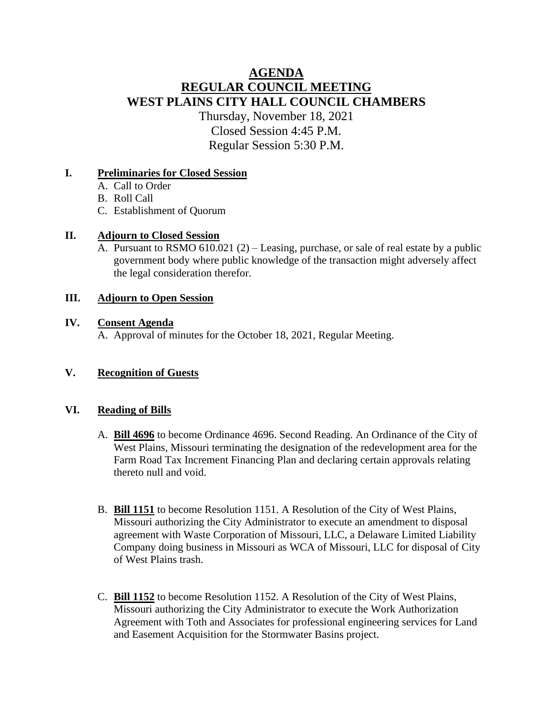# **AGENDA REGULAR COUNCIL MEETING WEST PLAINS CITY HALL COUNCIL CHAMBERS** Thursday, November 18, 2021 Closed Session 4:45 P.M.

Regular Session 5:30 P.M.

#### **I. Preliminaries for Closed Session**

- A. Call to Order
- B. Roll Call
- C. Establishment of Quorum

### **II. Adjourn to Closed Session**

A. Pursuant to RSMO 610.021 (2) – Leasing, purchase, or sale of real estate by a public government body where public knowledge of the transaction might adversely affect the legal consideration therefor.

### **III. Adjourn to Open Session**

### **IV. Consent Agenda**

A. Approval of minutes for the October 18, 2021, Regular Meeting.

### **V. Recognition of Guests**

#### **VI. Reading of Bills**

- A. **Bill 4696** to become Ordinance 4696. Second Reading. An Ordinance of the City of West Plains, Missouri terminating the designation of the redevelopment area for the Farm Road Tax Increment Financing Plan and declaring certain approvals relating thereto null and void.
- B. **Bill 1151** to become Resolution 1151. A Resolution of the City of West Plains, Missouri authorizing the City Administrator to execute an amendment to disposal agreement with Waste Corporation of Missouri, LLC, a Delaware Limited Liability Company doing business in Missouri as WCA of Missouri, LLC for disposal of City of West Plains trash.
- C. **Bill 1152** to become Resolution 1152. A Resolution of the City of West Plains, Missouri authorizing the City Administrator to execute the Work Authorization Agreement with Toth and Associates for professional engineering services for Land and Easement Acquisition for the Stormwater Basins project.